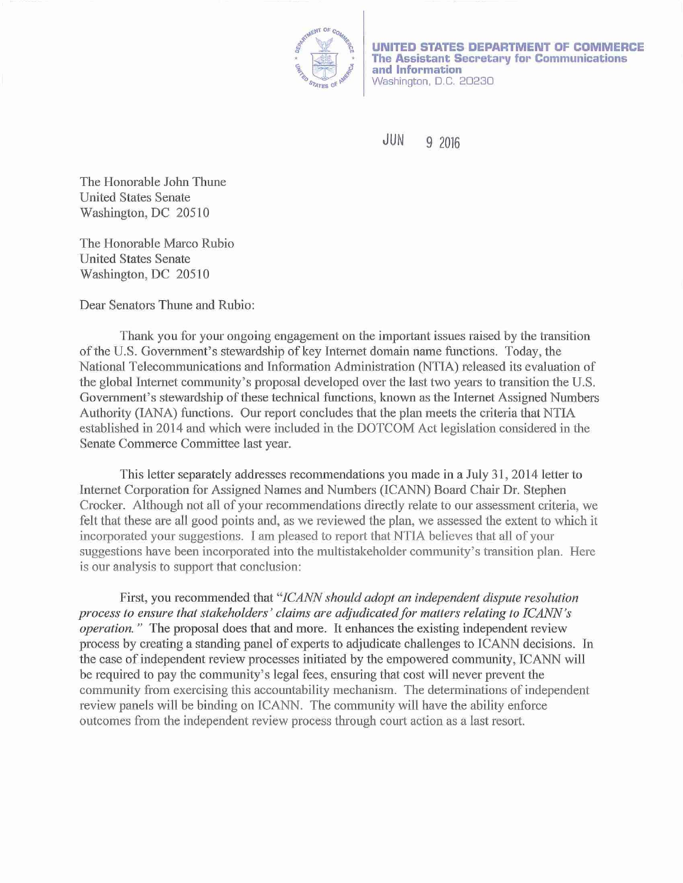

**UNITED STATES DEPARTMENT OF COMMERCE The Assistant Secretary for Communications and Information**  Washington, D.C. 20230

JUN 9 2016

The Honorable John Thune United States Senate Washington, DC 20510

The Honorable Marco Rubio United States Senate Washington, DC 20510

Dear Senators Thune and Rubio:

Thank you for yow: ongoing engagement on the important issues raised by the transition of the U.S. Govemment's stewardship of key Internet domain name functions. Today, the National Telecommunications and Information Administration (NTIA) released its evaluation of the global Internet community's proposal developed over the last two years to transition the U.S. Government's stewardship of these technical functions, known as the Internet Assigned Numbers Authority (lANA) functions. Our report concludes that the plan meets the criteria that NTIA established in 2014 and which were included in the DOTCOM Act legislation considered in the Senate Commerce Committee last year.

This letter separately addresses recommendations you made in a July 31, 2014 letter to Intemet Corporation for Assigned Names and Numbers (ICANN) Board Chair Dr. Stephen Crocker. Although not all of your recommendations directly relate to our assessment criteria, we felt that these are all good points and, as we reviewed the plan, we assessed the extent to which it incorporated your suggestions. I am pleased to report that NTIA believes that all of your suggestions have been incorporated into the multistakeholder community's transition plan. Here is our analysis to support that conclusion:

First, you recommended that *"JCANN should adopt an independent dispute resolution*  process to ensure that stakeholders' claims are adjudicated for matters relating to ICANN's *operation.* " The proposal does that and more. It enhances the existing independent review process by creating a standing panel of experts to adjudicate challenges to ICANN decisions. In the case of independent review processes initiated by the empowered community, ICANN will be required to pay the community's legal fees, ensuring that cost will never prevent the community from exercising this accountability mechanism. The determinations of independent review panels will be binding on ICANN. The community will have the ability enforce outcomes from the independent review process through court action as a last resort.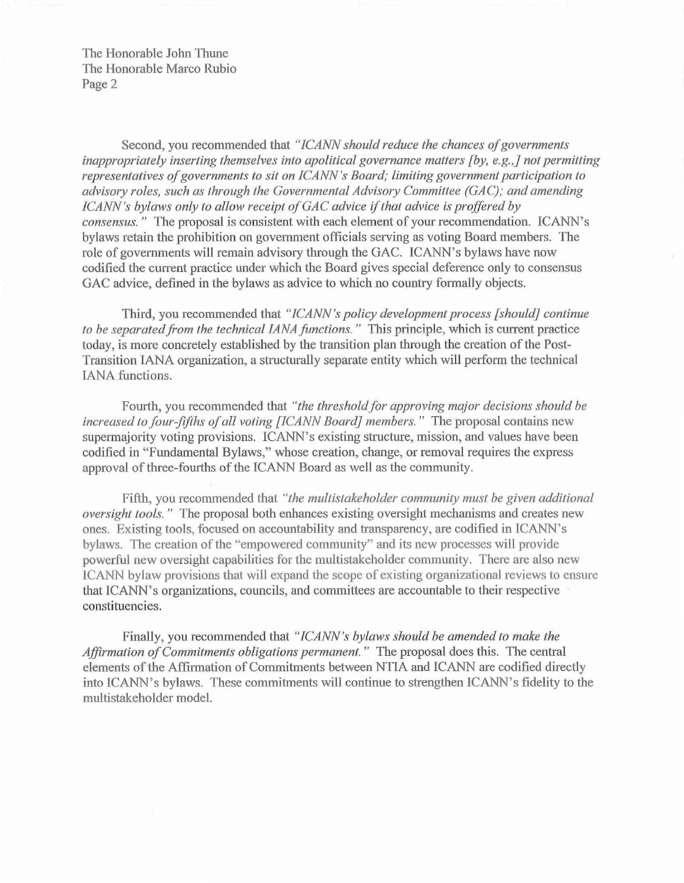The Honorable John Thune The Honorable Marco Rubio Page 2

Second, you recommended that *"JCANN should reduce the chances of governments inappropriately inserting themselves into apolitical governance matters [by, e.g.,] not permitting representatives of governments to sit on ICANN 's Board; limiting government participation to advisory roles, such as through the Governmental Advisory Committee (GAC); and amending ICANN's bylaws only to allow receipt of GAC advice if that advice is proffered by consensus.*" The proposal is consistent with each element of your recommendation. ICANN's bylaws retain the prohibition on government officials serving as voting Board members. The role of govemments will remain advisory through the GAC. ICANN's bylaws have now codified the current practice under which the Board gives special deference only to consensus GAC advice, defined in the bylaws as advice to which no country formally objects.

Third, you recommended that *"JCANN's policy development process [should] continue*  to be separated from the technical IANA functions." This principle, which is current practice today, is more concretely established by the transition plan through the creation of the Post-Transition IANA organization, a structurally separate entity which will perform the technical lANA functions.

Fourth, you recommended that *"the threshold for approving major decisions should be increased to four-fifths of all voting [ICANN Board] members.*" The proposal contains new supermajority voting provisions. ICANN's existing structure, mission, and values have been codified in "Fundamental Bylaws," whose creation, change, or removal requires the express approval of three-fourths of the ICANN Board as well as the community.

Fifth, you recommended that *"the multistakeholder community must be given additional oversight fools."* The proposal both enhances existing oversight mechanisms and creates new ones. Existing tools, focused on accountability and transparency, are codified in ICANN's bylaws. The creation of the "empowered community" and its new processes will provide powerful new oversight capabilities for the multistakeholder community. There are also new ICANN bylaw provisions that will expand the scope of existing organizational reviews to ensure that ICANN's organizations, councils, and committees are accountable to their respective constituencies.

Finally, you recommended that *"JCANN's bylaws should be amended to make the Affirmation of Commitments obligations permanent."* The proposal does this. The central elements of the Affirmation of Commitments between NTIA and ICANN are codified directly into ICANN's bylaws. These commitments will continue to strengthen ICANN's fidelity to the multistakeholder model.